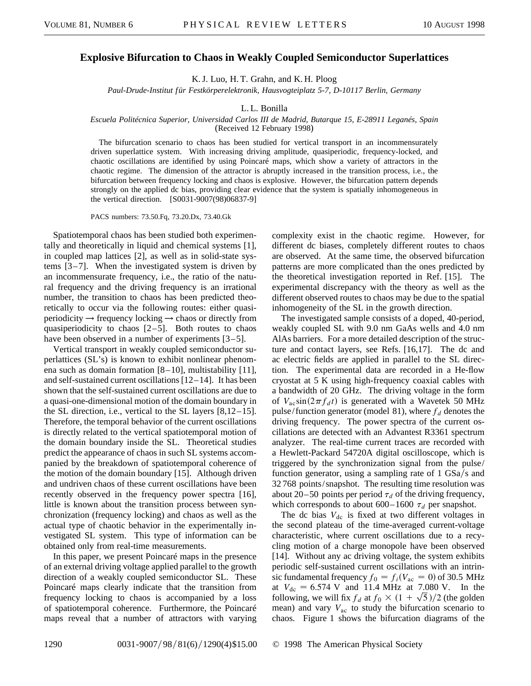## **Explosive Bifurcation to Chaos in Weakly Coupled Semiconductor Superlattices**

K. J. Luo, H. T. Grahn, and K. H. Ploog

*Paul-Drude-Institut f ür Festkörperelektronik, Hausvogteiplatz 5-7, D-10117 Berlin, Germany*

L. L. Bonilla

## *Escuela Politécnica Superior, Universidad Carlos III de Madrid, Butarque 15, E-28911 Leganés, Spain*

(Received 12 February 1998)

The bifurcation scenario to chaos has been studied for vertical transport in an incommensurately driven superlattice system. With increasing driving amplitude, quasiperiodic, frequency-locked, and chaotic oscillations are identified by using Poincaré maps, which show a variety of attractors in the chaotic regime. The dimension of the attractor is abruptly increased in the transition process, i.e., the bifurcation between frequency locking and chaos is explosive. However, the bifurcation pattern depends strongly on the applied dc bias, providing clear evidence that the system is spatially inhomogeneous in the vertical direction. [S0031-9007(98)06837-9]

PACS numbers: 73.50.Fq, 73.20.Dx, 73.40.Gk

Spatiotemporal chaos has been studied both experimentally and theoretically in liquid and chemical systems [1], in coupled map lattices [2], as well as in solid-state systems [3–7]. When the investigated system is driven by an incommensurate frequency, i.e., the ratio of the natural frequency and the driving frequency is an irrational number, the transition to chaos has been predicted theoretically to occur via the following routes: either quasiperiodicity  $\rightarrow$  frequency locking  $\rightarrow$  chaos or directly from quasiperiodicity to chaos  $[2-5]$ . Both routes to chaos have been observed in a number of experiments [3–5].

Vertical transport in weakly coupled semiconductor superlattices (SL's) is known to exhibit nonlinear phenomena such as domain formation [8–10], multistability [11], and self-sustained current oscillations [12–14]. It has been shown that the self-sustained current oscillations are due to a quasi-one-dimensional motion of the domain boundary in the SL direction, i.e., vertical to the SL layers [8,12–15]. Therefore, the temporal behavior of the current oscillations is directly related to the vertical spatiotemporal motion of the domain boundary inside the SL. Theoretical studies predict the appearance of chaos in such SL systems accompanied by the breakdown of spatiotemporal coherence of the motion of the domain boundary [15]. Although driven and undriven chaos of these current oscillations have been recently observed in the frequency power spectra [16], little is known about the transition process between synchronization (frequency locking) and chaos as well as the actual type of chaotic behavior in the experimentally investigated SL system. This type of information can be obtained only from real-time measurements.

In this paper, we present Poincaré maps in the presence of an external driving voltage applied parallel to the growth direction of a weakly coupled semiconductor SL. These Poincaré maps clearly indicate that the transition from frequency locking to chaos is accompanied by a loss of spatiotemporal coherence. Furthermore, the Poincaré maps reveal that a number of attractors with varying

complexity exist in the chaotic regime. However, for different dc biases, completely different routes to chaos are observed. At the same time, the observed bifurcation patterns are more complicated than the ones predicted by the theoretical investigation reported in Ref. [15]. The experimental discrepancy with the theory as well as the different observed routes to chaos may be due to the spatial inhomogeneity of the SL in the growth direction.

The investigated sample consists of a doped, 40-period, weakly coupled SL with 9.0 nm GaAs wells and 4.0 nm AlAs barriers. For a more detailed description of the structure and contact layers, see Refs. [16,17]. The dc and ac electric fields are applied in parallel to the SL direction. The experimental data are recorded in a He-flow cryostat at 5 K using high-frequency coaxial cables with a bandwidth of 20 GHz. The driving voltage in the form of  $V_{\text{ac}}\sin(2\pi f_d t)$  is generated with a Wavetek 50 MHz pulse/function generator (model 81), where  $f_d$  denotes the driving frequency. The power spectra of the current oscillations are detected with an Advantest R3361 spectrum analyzer. The real-time current traces are recorded with a Hewlett-Packard 54720A digital oscilloscope, which is triggered by the synchronization signal from the pulse/ function generator, using a sampling rate of  $1 \text{ GSa/s}$  and 32 768 points/snapshot. The resulting time resolution was about 20–50 points per period  $\tau_d$  of the driving frequency, which corresponds to about  $600-1600 \tau_d$  per snapshot.

The dc bias  $V_{dc}$  is fixed at two different voltages in the second plateau of the time-averaged current-voltage characteristic, where current oscillations due to a recycling motion of a charge monopole have been observed [14]. Without any ac driving voltage, the system exhibits periodic self-sustained current oscillations with an intrinsic fundamental frequency  $f_0 = f_i(V_{ac} = 0)$  of 30.5 MHz at  $V_{\text{dc}} = 6.574$  V and 11.4 MHz at 7.080 V. In the at  $V_{\text{dc}} = 6.574$  V and 11.4 MHz at 7.080 V. In the following, we will fix  $f_d$  at  $f_0 \times (1 + \sqrt{5})/2$  (the golden mean) and vary  $V_{ac}$  to study the bifurcation scenario to chaos. Figure 1 shows the bifurcation diagrams of the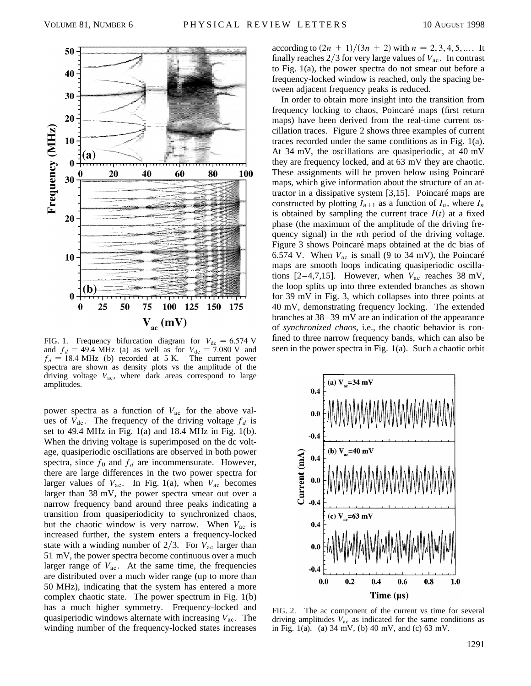

FIG. 1. Frequency bifurcation diagram for  $V_{dc} = 6.574$  V and  $f_d = 49.4 \text{ MHz}$  (a) as well as for  $V_{dc} = 7.080 \text{ V}$  and  $f_d = 18.4$  MHz (b) recorded at 5 K. The current power spectra are shown as density plots vs the amplitude of the driving voltage *V*ac, where dark areas correspond to large amplitudes.

power spectra as a function of *V*ac for the above values of  $V_{\text{dc}}$ . The frequency of the driving voltage  $f_d$  is set to 49.4 MHz in Fig. 1(a) and 18.4 MHz in Fig. 1(b). When the driving voltage is superimposed on the dc voltage, quasiperiodic oscillations are observed in both power spectra, since  $f_0$  and  $f_d$  are incommensurate. However, there are large differences in the two power spectra for larger values of  $V_{ac}$ . In Fig. 1(a), when  $V_{ac}$  becomes larger than 38 mV, the power spectra smear out over a narrow frequency band around three peaks indicating a transition from quasiperiodicity to synchronized chaos, but the chaotic window is very narrow. When  $V_{ac}$  is increased further, the system enters a frequency-locked state with a winding number of  $2/3$ . For  $V_{ac}$  larger than 51 mV, the power spectra become continuous over a much larger range of  $V_{ac}$ . At the same time, the frequencies are distributed over a much wider range (up to more than 50 MHz), indicating that the system has entered a more complex chaotic state. The power spectrum in Fig. 1(b) has a much higher symmetry. Frequency-locked and quasiperiodic windows alternate with increasing *V*ac. The winding number of the frequency-locked states increases

according to  $(2n + 1)/(3n + 2)$  with  $n = 2, 3, 4, 5, ...$  It finally reaches  $2/3$  for very large values of  $V_{ac}$ . In contrast to Fig. 1(a), the power spectra do not smear out before a frequency-locked window is reached, only the spacing between adjacent frequency peaks is reduced.

In order to obtain more insight into the transition from frequency locking to chaos, Poincaré maps (first return maps) have been derived from the real-time current oscillation traces. Figure 2 shows three examples of current traces recorded under the same conditions as in Fig. 1(a). At 34 mV, the oscillations are quasiperiodic, at 40 mV they are frequency locked, and at 63 mV they are chaotic. These assignments will be proven below using Poincaré maps, which give information about the structure of an attractor in a dissipative system [3,15]. Poincaré maps are constructed by plotting  $I_{n+1}$  as a function of  $I_n$ , where  $I_n$ is obtained by sampling the current trace  $I(t)$  at a fixed phase (the maximum of the amplitude of the driving frequency signal) in the *n*th period of the driving voltage. Figure 3 shows Poincaré maps obtained at the dc bias of 6.574 V. When  $V_{ac}$  is small (9 to 34 mV), the Poincaré maps are smooth loops indicating quasiperiodic oscillations  $[2-4,7,15]$ . However, when  $V_{ac}$  reaches 38 mV, the loop splits up into three extended branches as shown for 39 mV in Fig. 3, which collapses into three points at 40 mV, demonstrating frequency locking. The extended branches at 38–39 mV are an indication of the appearance of *synchronized chaos,* i.e., the chaotic behavior is confined to three narrow frequency bands, which can also be seen in the power spectra in Fig. 1(a). Such a chaotic orbit



FIG. 2. The ac component of the current vs time for several driving amplitudes *V*ac as indicated for the same conditions as in Fig. 1(a). (a)  $34 \text{ mV}$ , (b)  $40 \text{ mV}$ , and (c)  $63 \text{ mV}$ .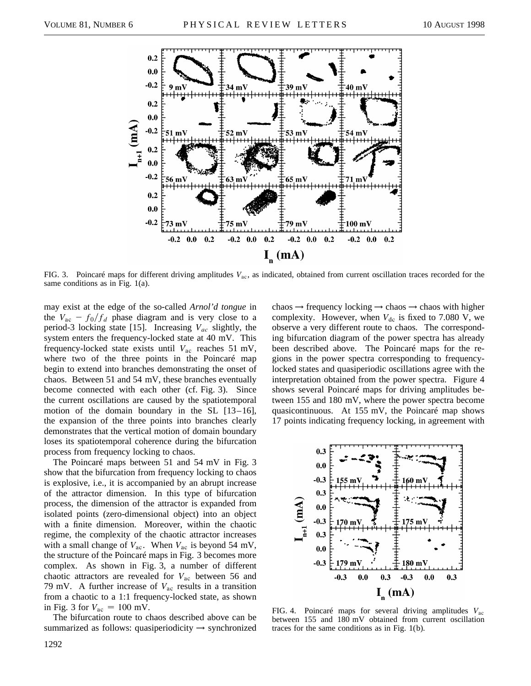

FIG. 3. Poincaré maps for different driving amplitudes *V*ac, as indicated, obtained from current oscillation traces recorded for the same conditions as in Fig. 1(a).

may exist at the edge of the so-called *Arnol'd tongue* in the  $V_{ac} - f_0/f_d$  phase diagram and is very close to a period-3 locking state [15]. Increasing *Vac* slightly, the system enters the frequency-locked state at 40 mV. This frequency-locked state exists until *V*ac reaches 51 mV, where two of the three points in the Poincaré map begin to extend into branches demonstrating the onset of chaos. Between 51 and 54 mV, these branches eventually become connected with each other (cf. Fig. 3). Since the current oscillations are caused by the spatiotemporal motion of the domain boundary in the SL [13–16], the expansion of the three points into branches clearly demonstrates that the vertical motion of domain boundary loses its spatiotemporal coherence during the bifurcation process from frequency locking to chaos.

The Poincaré maps between 51 and 54 mV in Fig. 3 show that the bifurcation from frequency locking to chaos is explosive, i.e., it is accompanied by an abrupt increase of the attractor dimension. In this type of bifurcation process, the dimension of the attractor is expanded from isolated points (zero-dimensional object) into an object with a finite dimension. Moreover, within the chaotic regime, the complexity of the chaotic attractor increases with a small change of  $V_{ac}$ . When  $V_{ac}$  is beyond 54 mV, the structure of the Poincaré maps in Fig. 3 becomes more complex. As shown in Fig. 3, a number of different chaotic attractors are revealed for *V*ac between 56 and 79 mV. A further increase of *V*ac results in a transition from a chaotic to a 1:1 frequency-locked state, as shown in Fig. 3 for  $V_{\text{ac}} = 100 \text{ mV}$ .

The bifurcation route to chaos described above can be summarized as follows: quasiperiodicity  $\rightarrow$  synchronized chaos  $\rightarrow$  frequency locking  $\rightarrow$  chaos  $\rightarrow$  chaos with higher complexity. However, when  $V_{dc}$  is fixed to 7.080 V, we observe a very different route to chaos. The corresponding bifurcation diagram of the power spectra has already been described above. The Poincaré maps for the regions in the power spectra corresponding to frequencylocked states and quasiperiodic oscillations agree with the interpretation obtained from the power spectra. Figure 4 shows several Poincaré maps for driving amplitudes between 155 and 180 mV, where the power spectra become quasicontinuous. At 155 mV, the Poincaré map shows 17 points indicating frequency locking, in agreement with



FIG. 4. Poincaré maps for several driving amplitudes *V*ac between 155 and 180 mV obtained from current oscillation traces for the same conditions as in Fig. 1(b).